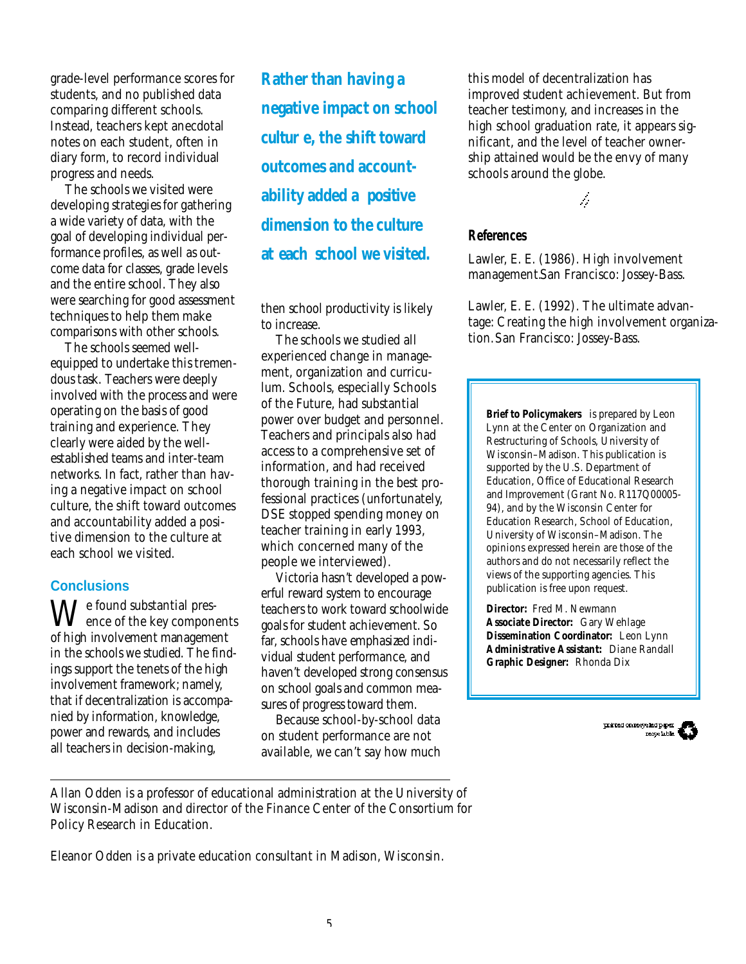grade-level performance scores for students, and no published data comparing different schools. Instead, teachers kept anecdotal notes on each student, often in diary form, to record individual progress and needs.

The schools we visited were developing strategies for gathering a wide variety of data, with the goal of developing individual performance profiles, as well as outcome data for classes, grade levels and the entire school. They also were searching for good assessment techniques to help them make comparisons with other schools.

The schools seemed wellequipped to undertake this tremendous task. Teachers were deeply involved with the process and were operating on the basis of good training and experience. They clearly were aided by the wellestablished teams and inter-team networks. In fact, rather than having a negative impact on school culture, the shift toward outcomes and accountability added a positive dimension to the culture at each school we visited.

### **Conclusions**

We found substantial pres-<br>ence of the key components of high involvement management in the schools we studied. The findings support the tenets of the high involvement framework; namely, that if decentralization is accompanied by information, knowledge, power and rewards, and includes all teachers in decision-making,

*Rather than having a negative impact on school cultur e, the shift toward outcomes and accountability added a positive dimension to the culture*  at each school we visited.

then school productivity is likely to increase.

The schools we studied all experienced change in management, organization and curriculum. Schools, especially Schools of the Future, had substantial power over budget and personnel. Teachers and principals also had access to a comprehensive set of information, and had received thorough training in the best professional practices (unfortunately, DSE stopped spending money on teacher training in early 1993, which concerned many of the people we interviewed).

Victoria hasn't developed a powerful reward system to encourage teachers to work toward schoolwide goals for student achievement. So far, schools have emphasized individual student performance, and haven't developed strong consensus on school goals and common measures of progress toward them.

Because school-by-school data on student performance are not available, we can't say how much this model of decentralization has improved student achievement. But from teacher testimony, and increases in the high school graduation rate, it appears significant, and the level of teacher ownership attained would be the envy of many schools around the globe.

ħ

**References**

Lawler, E. E. (1986). *High involvement management.*San Francisco: Jossey-Bass.

Lawler, E. E. (1992). *The ultimate advantage: Creating the high involvement organization.*San Francisco: Jossey-Bass.

**Brief to Policymakers** is prepared by Leon Lynn at the Center on Organization and Restructuring of Schools, University of Wisconsin–Madison. This publication is supported by the U.S. Department of Education, Office of Educational Research and Improvement (Grant No. R117Q00005- 94), and by the Wisconsin Center for Education Research, School of Education, University of Wisconsin–Madison. The opinions expressed herein are those of the authors and do not necessarily reflect the views of the supporting agencies. This publication is free upon request.

**Director:** Fred M. Newmann **Associate Director:** Gary Wehlage **Dissemination Coordinator:** Leon Lynn **Administrative Assistant:** Diane Randall **Graphic Designer:** Rhonda Dix

priced on resyck dp. parties of the second series of the series of the series of the series of the series of the series of the series of the series of the series of the series of the series of the series of the series of t

*Allan Odden is a professor of educational administration at the University of Wisconsin-Madison and director of the Finance Center of the Consortium for Policy Research in Education.*

*Eleanor Odden is a private education consultant in Madison, Wisconsin.*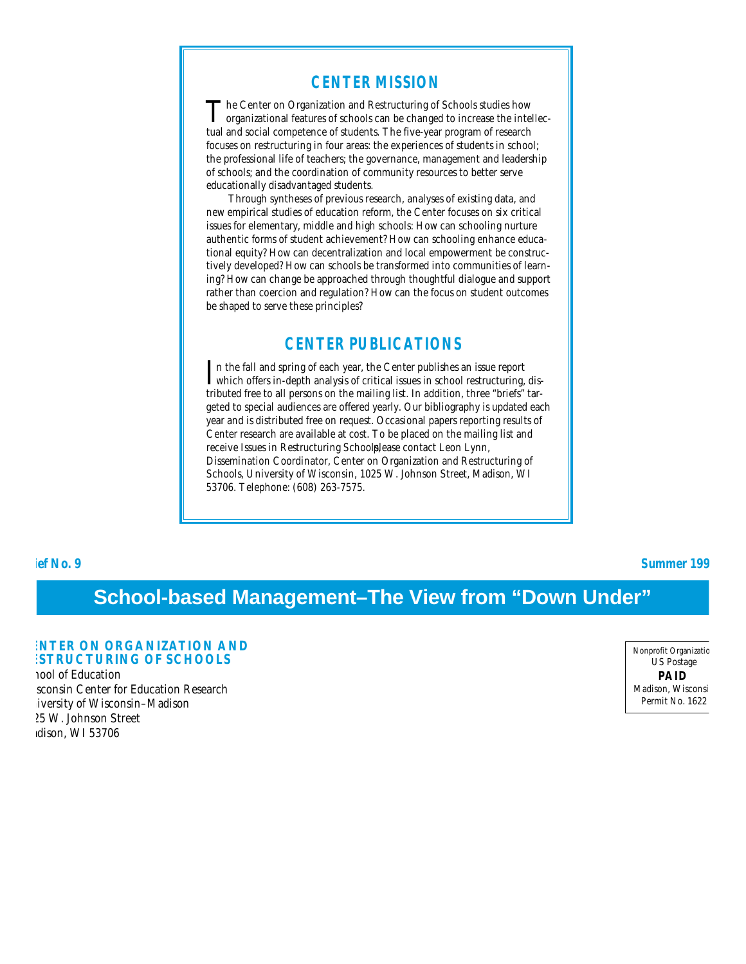## **CENTER MISSION**

The Center on Organization and Restructuring of Schools studies how<br>organizational features of schools can be changed to increase the intelleche Center on Organization and Restructuring of Schools studies how tual and social competence of students. The five-year program of research focuses on restructuring in four areas: the experiences of students in school; the professional life of teachers; the governance, management and leadership of schools; and the coordination of community resources to better serve educationally disadvantaged students.

Through syntheses of previous research, analyses of existing data, and new empirical studies of education reform, the Center focuses on six critical issues for elementary, middle and high schools: How can schooling nurture authentic forms of student achievement? How can schooling enhance educational equity? How can decentralization and local empowerment be constructively developed? How can schools be transformed into communities of learning? How can change be approached through thoughtful dialogue and support rather than coercion and regulation? How can the focus on student outcomes be shaped to serve these principles?

## **CENTER PUBLICATIONS**

In the fall and spring of each year, the Center publishes an issue report which offers in-depth analysis of critical issues in school restructuring, disn the fall and spring of each year, the Center publishes an issue report tributed free to all persons on the mailing list. In addition, three "briefs" targeted to special audiences are offered yearly. Our bibliography is updated each year and is distributed free on request. Occasional papers reporting results of Center research are available at cost. To be placed on the mailing list and receive Issues in Restructuring Schoolplease contact Leon Lynn, Dissemination Coordinator, Center on Organization and Restructuring of Schools, University of Wisconsin, 1025 W. Johnson Street, Madison, WI 53706. Telephone: (608) 263-7575.

**brief No. 9 Summer 199** 

# **School-based Management–The View from "Down Under"**

#### **ENTER ON ORGANIZATION AND ESTRUCTURING OF SCHOOLS**

nool of Education sconsin Center for Education Research iversity of Wisconsin-Madison 025 W. Johnson Street dison, WI 53706

Nonprofit Organizatic US Postage **PAID** Madison, Wisconsi Permit No. 1622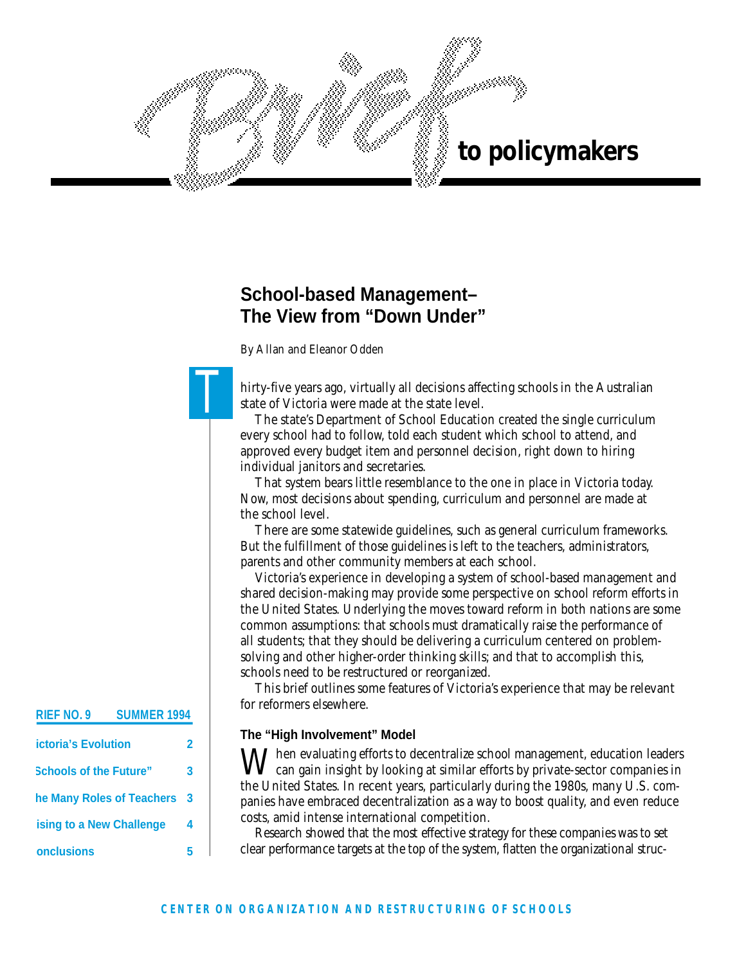

# **School-based Management– The View from "Down Under"**

*By Allan and Eleanor Odden*

 $\mathbf{T}$ 

hirty-five years ago, virtually all decisions affecting schools in the Australian state of Victoria were made at the state level.

The state's Department of School Education created the single curriculum every school had to follow, told each student which school to attend, and approved every budget item and personnel decision, right down to hiring individual janitors and secretaries.

That system bears little resemblance to the one in place in Victoria today. Now, most decisions about spending, curriculum and personnel are made at the school level.

There are some statewide guidelines, such as general curriculum frameworks. But the fulfillment of those guidelines is left to the teachers, administrators, parents and other community members at each school.

Victoria's experience in developing a system of school-based management and shared decision-making may provide some perspective on school reform efforts in the United States. Underlying the moves toward reform in both nations are some common assumptions: that schools must dramatically raise the performance of all students; that they should be delivering a curriculum centered on problemsolving and other higher-order thinking skills; and that to accomplish this, schools need to be restructured or reorganized.

This brief outlines some features of Victoria's experience that may be relevant for reformers elsewhere.

### **The "High Involvement" Model**

 $\blacksquare$  Then evaluating efforts to decentralize school management, education leaders can gain insight by looking at similar efforts by private-sector companies in the United States. In recent years, particularly during the 1980s, many U.S. companies have embraced decentralization as a way to boost quality, and even reduce costs, amid intense international competition.

Research showed that the most effective strategy for these companies was to set clear performance targets at the top of the system, flatten the organizational struc-

#### **RIEF NO. 9 SUMMER 1994**

| <b>ictoria's Evolution</b>    | 7 |
|-------------------------------|---|
| <b>Schools of the Future"</b> | 3 |
| he Many Roles of Teachers     | 3 |
| ising to a New Challenge      | 4 |
| onclusions                    |   |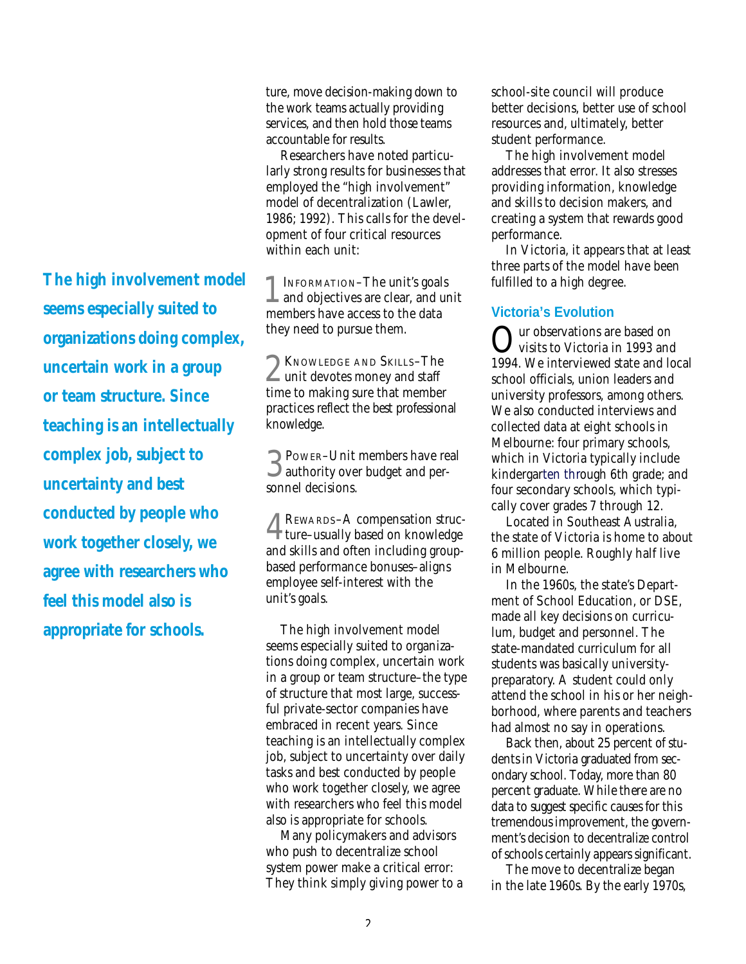*The high involvement model seems especially suited to organizations doing complex, uncertain work in a group or team structure. Since teaching is an intellectually complex job, subject to uncertainty and best conducted by people who work together closely, we agree with researchers who feel this model also is appropriate for schools.*

ture, move decision-making down to the work teams actually providing services, and then hold those teams accountable for results.

Researchers have noted particularly strong results for businesses that employed the "high involvement" model of decentralization (Lawler, 1986; 1992). This calls for the development of four critical resources within each unit:

1 INFORMATION-The unit's goals<br>and objectives are clear, and unit INFORMATION–The unit's goals members have access to the data they need to pursue them.

2 KNOWLEDGE AND SKILLS-The<br>
wunit devotes money and staff  $\sim$  unit devotes money and staff time to making sure that member practices reflect the best professional knowledge.

3 authority over budget and per-**POWER–Unit members have real** sonnel decisions.

4 ture–usually based on knowledge REWARDS–A compensation strucand skills and often including groupbased performance bonuses–aligns employee self-interest with the unit's goals.

The high involvement model seems especially suited to organizations doing complex, uncertain work in a group or team structure–the type of structure that most large, successful private-sector companies have embraced in recent years. Since teaching is an intellectually complex job, subject to uncertainty over daily tasks and best conducted by people who work together closely, we agree with researchers who feel this model also is appropriate for schools.

Many policymakers and advisors who push to decentralize school system power make a critical error: They think simply giving power to a school-site council will produce better decisions, better use of school resources and, ultimately, better student performance.

The high involvement model addresses that error. It also stresses providing information, knowledge and skills to decision makers, and creating a system that rewards good performance.

In Victoria, it appears that at least three parts of the model have been fulfilled to a high degree.

### **Victoria's Evolution**

Qur observations are based on<br>visits to Victoria in 1993 and visits to Victoria in 1993 and 1994. We interviewed state and local school officials, union leaders and university professors, among others. We also conducted interviews and collected data at eight schools in Melbourne: four primary schools, which in Victoria typically include kindergarten through 6th grade; and four secondary schools, which typically cover grades 7 through 12.

Located in Southeast Australia, the state of Victoria is home to about 6 million people. Roughly half live in Melbourne.

In the 1960s, the state's Department of School Education, or DSE, made all key decisions on curriculum, budget and personnel. The state-mandated curriculum for all students was basically universitypreparatory. A student could only attend the school in his or her neighborhood, where parents and teachers had almost no say in operations.

Back then, about 25 percent of students in Victoria graduated from secondary school. Today, more than 80 percent graduate. While there are no data to suggest specific causes for this tremendous improvement, the government's decision to decentralize control of schools certainly appears significant.

The move to decentralize began in the late 1960s. By the early 1970s,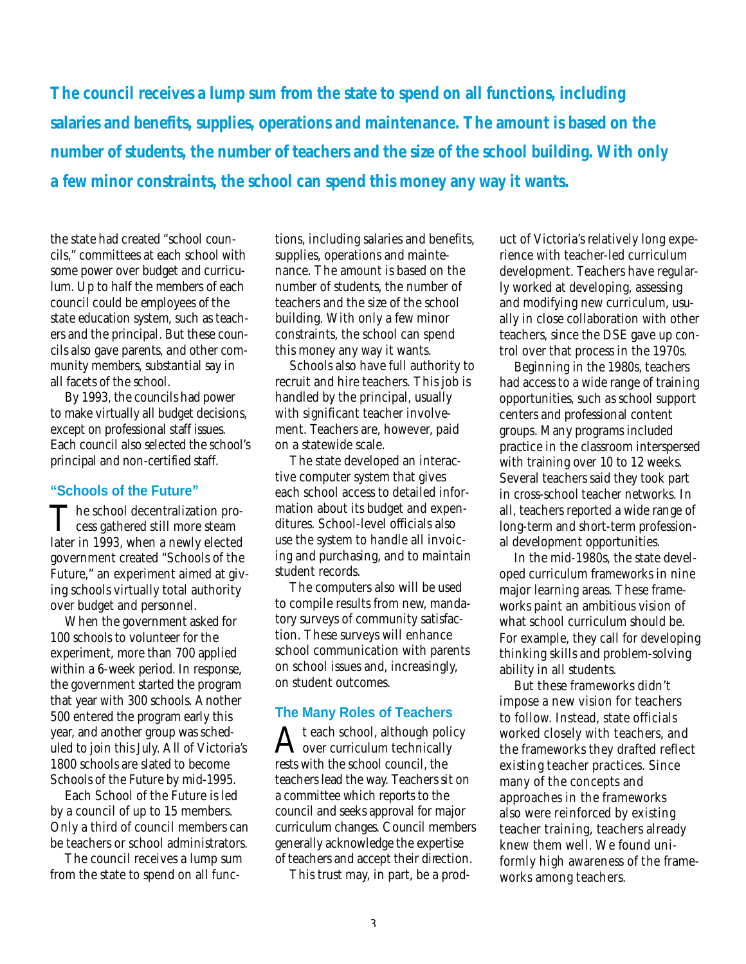*The council receives a lump sum from the state to spend on all functions, including salaries and benefits, supplies, operations and maintenance. The amount is based on the number of students, the number of teachers and the size of the school building. With only a few minor constraints, the school can spend this money any way it wants.*

the state had created "school councils," committees at each school with some power over budget and curriculum. Up to half the members of each council could be employees of the state education system, such as teachers and the principal. But these councils also gave parents, and other community members, substantial say in all facets of the school.

By 1993, the councils had power to make virtually all budget decisions, except on professional staff issues. Each council also selected the school's principal and non-certified staff.

### **"Schools of the Future"**

The school decentralization process gathered still more steam **1** cess gathered still more steam later in 1993, when a newly elected government created "Schools of the Future," an experiment aimed at giving schools virtually total authority over budget and personnel.

When the government asked for 100 schools to volunteer for the experiment, more than 700 applied within a 6-week period. In response, the government started the program that year with 300 schools. Another 500 entered the program early this year, and another group was scheduled to join this July. All of Victoria's 1800 schools are slated to become Schools of the Future by mid-1995.

Each School of the Future is led by a council of up to 15 members. Only a third of council members can be teachers or school administrators.

The council receives a lump sum from the state to spend on all functions, including salaries and benefits, supplies, operations and maintenance. The amount is based on the number of students, the number of teachers and the size of the school building. With only a few minor constraints, the school can spend this money any way it wants.

Schools also have full authority to recruit and hire teachers. This job is handled by the principal, usually with significant teacher involvement. Teachers are, however, paid on a statewide scale.

The state developed an interactive computer system that gives each school access to detailed information about its budget and expenditures. School-level officials also use the system to handle all invoicing and purchasing, and to maintain student records.

The computers also will be used to compile results from new, mandatory surveys of community satisfaction. These surveys will enhance school communication with parents on school issues and, increasingly, on student outcomes.

### **The Many Roles of Teachers**

 ${\rm A}^{\rm t}$ each school, although politically t each school, although policy rests with the school council, the teachers lead the way. Teachers sit on a committee which reports to the council and seeks approval for major curriculum changes. Council members generally acknowledge the expertise of teachers and accept their direction.

This trust may, in part, be a prod-

uct of Victoria's relatively long experience with teacher-led curriculum development. Teachers have regularly worked at developing, assessing and modifying new curriculum, usually in close collaboration with other teachers, since the DSE gave up control over that process in the 1970s.

Beginning in the 1980s, teachers had access to a wide range of training opportunities, such as school support centers and professional content groups. Many programs included practice in the classroom interspersed with training over 10 to 12 weeks. Several teachers said they took part in cross-school teacher networks. In all, teachers reported a wide range of long-term and short-term professional development opportunities.

In the mid-1980s, the state developed curriculum frameworks in nine major learning areas. These frameworks paint an ambitious vision of what school curriculum should be. For example, they call for developing thinking skills and problem-solving ability in all students.

But these frameworks didn't impose a new vision for teachers to follow. Instead, state officials worked closely with teachers, and the frameworks they drafted reflect existing teacher practices. Since many of the concepts and approaches in the frameworks also were reinforced by existing teacher training, teachers already knew them well. We found uniformly high awareness of the frameworks among teachers.